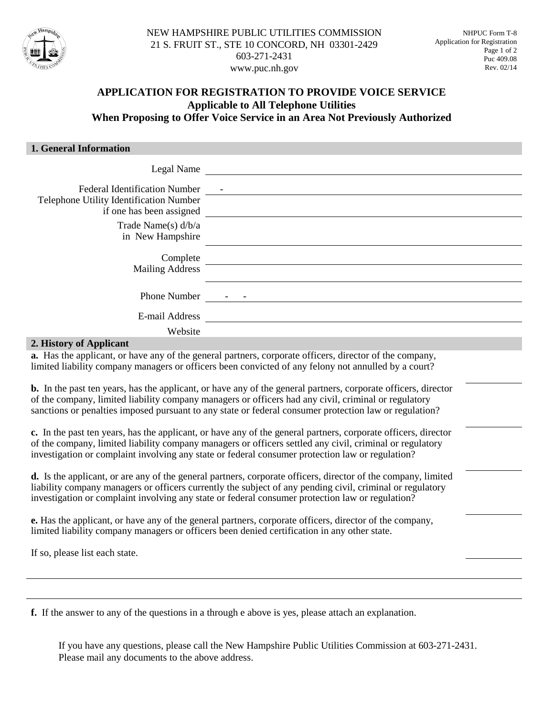

# **APPLICATION FOR REGISTRATION TO PROVIDE VOICE SERVICE Applicable to All Telephone Utilities When Proposing to Offer Voice Service in an Area Not Previously Authorized**

#### **1. General Information**

| Legal Name                                                                      |  |
|---------------------------------------------------------------------------------|--|
| <b>Federal Identification Number</b><br>Telephone Utility Identification Number |  |
| if one has been assigned                                                        |  |
| Trade Name(s) $d/b/a$<br>in New Hampshire                                       |  |
| Complete<br><b>Mailing Address</b>                                              |  |
| <b>Phone Number</b>                                                             |  |
| E-mail Address                                                                  |  |
| Website                                                                         |  |
| I History of Applicant                                                          |  |

#### **2. History of Applicant**

**a.** Has the applicant, or have any of the general partners, corporate officers, director of the company, limited liability company managers or officers been convicted of any felony not annulled by a court?

**b.** In the past ten years, has the applicant, or have any of the general partners, corporate officers, director of the company, limited liability company managers or officers had any civil, criminal or regulatory sanctions or penalties imposed pursuant to any state or federal consumer protection law or regulation?

**c.** In the past ten years, has the applicant, or have any of the general partners, corporate officers, director of the company, limited liability company managers or officers settled any civil, criminal or regulatory investigation or complaint involving any state or federal consumer protection law or regulation?

**d.** Is the applicant, or are any of the general partners, corporate officers, director of the company, limited liability company managers or officers currently the subject of any pending civil, criminal or regulatory investigation or complaint involving any state or federal consumer protection law or regulation?

**e.** Has the applicant, or have any of the general partners, corporate officers, director of the company, limited liability company managers or officers been denied certification in any other state.

If so, please list each state.

**f.** If the answer to any of the questions in a through e above is yes, please attach an explanation.

If you have any questions, please call the New Hampshire Public Utilities Commission at 603-271-2431. Please mail any documents to the above address.